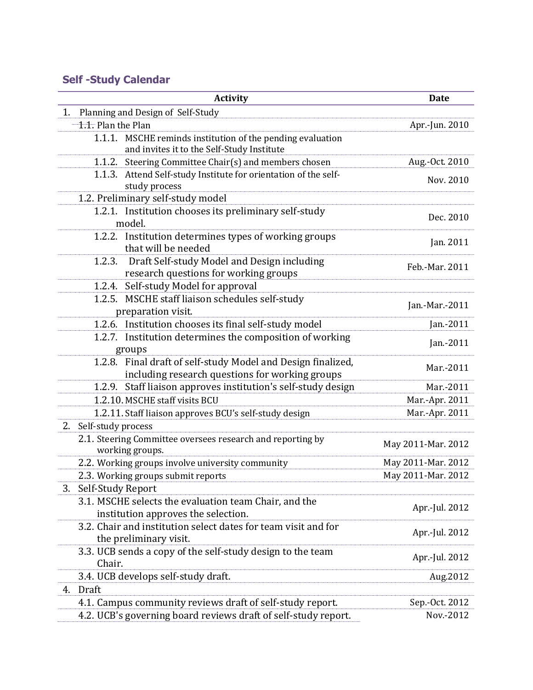## **Self -Study Calendar**

|    | <b>Activity</b>                                                                                                 | <b>Date</b>        |
|----|-----------------------------------------------------------------------------------------------------------------|--------------------|
| 1. | Planning and Design of Self-Study                                                                               |                    |
|    | 1.1. Plan the Plan                                                                                              | Apr.-Jun. 2010     |
|    | 1.1.1. MSCHE reminds institution of the pending evaluation<br>and invites it to the Self-Study Institute        |                    |
|    | 1.1.2. Steering Committee Chair(s) and members chosen                                                           | Aug.-Oct. 2010     |
|    | 1.1.3. Attend Self-study Institute for orientation of the self-<br>study process                                | Nov. 2010          |
|    | 1.2. Preliminary self-study model                                                                               |                    |
|    | 1.2.1. Institution chooses its preliminary self-study<br>model.                                                 | Dec. 2010          |
|    | 1.2.2. Institution determines types of working groups<br>that will be needed                                    | Jan. 2011          |
|    | Draft Self-study Model and Design including<br>1.2.3.<br>research questions for working groups                  | Feb.-Mar. 2011     |
|    | 1.2.4. Self-study Model for approval                                                                            |                    |
|    | 1.2.5. MSCHE staff liaison schedules self-study<br>preparation visit.                                           | Jan.-Mar.-2011     |
|    | 1.2.6. Institution chooses its final self-study model                                                           | Jan.-2011          |
|    | 1.2.7. Institution determines the composition of working<br>groups                                              | Jan.-2011          |
|    | 1.2.8. Final draft of self-study Model and Design finalized,<br>including research questions for working groups | Mar.-2011          |
|    | 1.2.9. Staff liaison approves institution's self-study design                                                   | Mar.-2011          |
|    | 1.2.10. MSCHE staff visits BCU                                                                                  | Mar.-Apr. 2011     |
|    | 1.2.11. Staff liaison approves BCU's self-study design                                                          | Mar.-Apr. 2011     |
| 2. | Self-study process                                                                                              |                    |
|    | 2.1. Steering Committee oversees research and reporting by<br>working groups.                                   | May 2011-Mar. 2012 |
|    | 2.2. Working groups involve university community                                                                | May 2011-Mar. 2012 |
|    | 2.3. Working groups submit reports                                                                              | May 2011-Mar. 2012 |
| 3. | Self-Study Report                                                                                               |                    |
|    | 3.1. MSCHE selects the evaluation team Chair, and the<br>institution approves the selection.                    | Apr.-Jul. 2012     |
|    | 3.2. Chair and institution select dates for team visit and for<br>the preliminary visit.                        | Apr.-Jul. 2012     |
|    | 3.3. UCB sends a copy of the self-study design to the team<br>Chair.                                            | Apr.-Jul. 2012     |
|    | 3.4. UCB develops self-study draft.                                                                             | Aug.2012           |
| 4. | Draft                                                                                                           |                    |
|    | 4.1. Campus community reviews draft of self-study report.                                                       | Sep.-Oct. 2012     |
|    | 4.2. UCB's governing board reviews draft of self-study report.                                                  | Nov.-2012          |